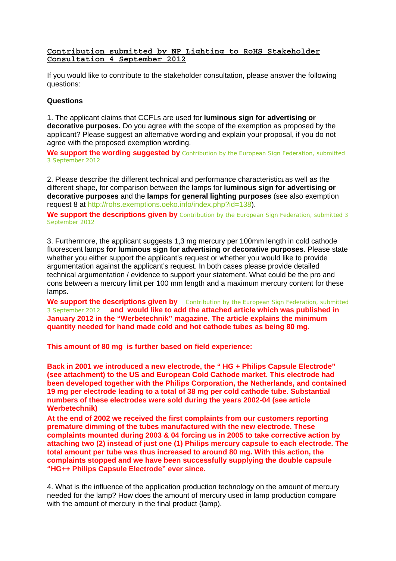**Contribution submitted by NP Lighting to RoHS Stakeholder Consultation 4 September 2012** 

If you would like to contribute to the stakeholder consultation, please answer the following questions:

## **Questions**

1. The applicant claims that CCFLs are used for **luminous sign for advertising or decorative purposes.** Do you agree with the scope of the exemption as proposed by the applicant? Please suggest an alternative wording and explain your proposal, if you do not agree with the proposed exemption wording.

We support the wording suggested by Contribution by the European Sign Federation, submitted 3 September 2012

2. Please describe the different technical and performance characteristic<sub>1</sub> as well as the different shape, for comparison between the lamps for **luminous sign for advertising or decorative purposes** and the **lamps for general lighting purposes** (see also exemption request 8 at http://rohs.exemptions.oeko.info/index.php?id=138).

We support the descriptions given by Contribution by the European Sign Federation, submitted 3 September 2012

3. Furthermore, the applicant suggests 1,3 mg mercury per 100mm length in cold cathode fluorescent lamps **for luminous sign for advertising or decorative purposes**. Please state whether you either support the applicant's request or whether you would like to provide argumentation against the applicant's request. In both cases please provide detailed technical argumentation / evidence to support your statement. What could be the pro and cons between a mercury limit per 100 mm length and a maximum mercury content for these lamps.

We support the descriptions given by Contribution by the European Sign Federation, submitted 3 September 2012 **and would like to add the attached article which was published in January 2012 in the "Werbetechnik" magazine. The article explains the minimum quantity needed for hand made cold and hot cathode tubes as being 80 mg.** 

**This amount of 80 mg is further based on field experience:** 

**Back in 2001 we introduced a new electrode, the " HG + Philips Capsule Electrode" (see attachment) to the US and European Cold Cathode market. This electrode had been developed together with the Philips Corporation, the Netherlands, and contained 19 mg per electrode leading to a total of 38 mg per cold cathode tube. Substantial numbers of these electrodes were sold during the years 2002-04 (see article Werbetechnik)** 

**At the end of 2002 we received the first complaints from our customers reporting premature dimming of the tubes manufactured with the new electrode. These complaints mounted during 2003 & 04 forcing us in 2005 to take corrective action by attaching two (2) instead of just one (1) Philips mercury capsule to each electrode. The total amount per tube was thus increased to around 80 mg. With this action, the complaints stopped and we have been successfully supplying the double capsule "HG++ Philips Capsule Electrode" ever since.** 

4. What is the influence of the application production technology on the amount of mercury needed for the lamp? How does the amount of mercury used in lamp production compare with the amount of mercury in the final product (lamp).